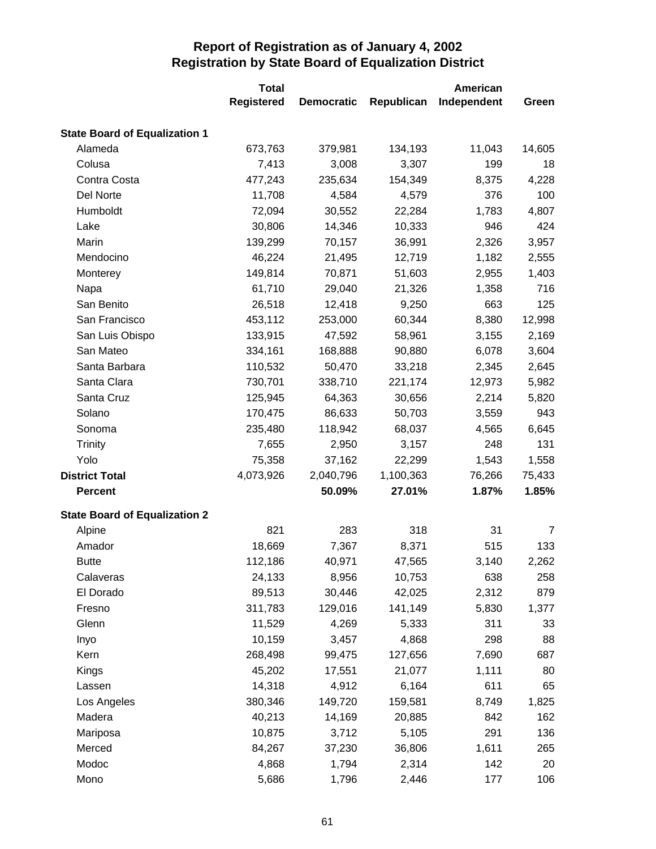|                                      | <b>Total</b>      |                   |            | <b>American</b> |        |
|--------------------------------------|-------------------|-------------------|------------|-----------------|--------|
|                                      | <b>Registered</b> | <b>Democratic</b> | Republican | Independent     | Green  |
| <b>State Board of Equalization 1</b> |                   |                   |            |                 |        |
| Alameda                              | 673,763           | 379,981           | 134,193    | 11,043          | 14,605 |
| Colusa                               | 7,413             | 3,008             | 3,307      | 199             | 18     |
| Contra Costa                         | 477,243           | 235,634           | 154,349    | 8,375           | 4,228  |
| Del Norte                            | 11,708            | 4,584             | 4,579      | 376             | 100    |
| Humboldt                             | 72,094            | 30,552            | 22,284     | 1,783           | 4,807  |
| Lake                                 | 30,806            | 14,346            | 10,333     | 946             | 424    |
| Marin                                | 139,299           | 70,157            | 36,991     | 2,326           | 3,957  |
| Mendocino                            | 46,224            | 21,495            | 12,719     | 1,182           | 2,555  |
| Monterey                             | 149,814           | 70,871            | 51,603     | 2,955           | 1,403  |
| Napa                                 | 61,710            | 29,040            | 21,326     | 1,358           | 716    |
| San Benito                           | 26,518            | 12,418            | 9,250      | 663             | 125    |
| San Francisco                        | 453,112           | 253,000           | 60,344     | 8,380           | 12,998 |
| San Luis Obispo                      | 133,915           | 47,592            | 58,961     | 3,155           | 2,169  |
| San Mateo                            | 334,161           | 168,888           | 90,880     | 6,078           | 3,604  |
| Santa Barbara                        | 110,532           | 50,470            | 33,218     | 2,345           | 2,645  |
| Santa Clara                          | 730,701           | 338,710           | 221,174    | 12,973          | 5,982  |
| Santa Cruz                           | 125,945           | 64,363            | 30,656     | 2,214           | 5,820  |
| Solano                               | 170,475           | 86,633            | 50,703     | 3,559           | 943    |
| Sonoma                               | 235,480           | 118,942           | 68,037     | 4,565           | 6,645  |
| <b>Trinity</b>                       | 7,655             | 2,950             | 3,157      | 248             | 131    |
| Yolo                                 | 75,358            | 37,162            | 22,299     | 1,543           | 1,558  |
| <b>District Total</b>                | 4,073,926         | 2,040,796         | 1,100,363  | 76,266          | 75,433 |
| <b>Percent</b>                       |                   | 50.09%            | 27.01%     | 1.87%           | 1.85%  |
| <b>State Board of Equalization 2</b> |                   |                   |            |                 |        |
| Alpine                               | 821               | 283               | 318        | 31              | 7      |
| Amador                               | 18,669            | 7,367             | 8,371      | 515             | 133    |
| <b>Butte</b>                         | 112,186           | 40,971            | 47,565     | 3,140           | 2,262  |
| Calaveras                            | 24,133            | 8,956             | 10,753     | 638             | 258    |
| El Dorado                            | 89,513            | 30,446            | 42,025     | 2,312           | 879    |
| Fresno                               | 311,783           | 129,016           | 141,149    | 5,830           | 1,377  |
| Glenn                                | 11,529            | 4,269             | 5,333      | 311             | 33     |
| Inyo                                 | 10,159            | 3,457             | 4,868      | 298             | 88     |
| Kern                                 | 268,498           | 99,475            | 127,656    | 7,690           | 687    |
| Kings                                | 45,202            | 17,551            | 21,077     | 1,111           | 80     |
| Lassen                               | 14,318            | 4,912             | 6,164      | 611             | 65     |
| Los Angeles                          | 380,346           | 149,720           | 159,581    | 8,749           | 1,825  |
| Madera                               | 40,213            | 14,169            | 20,885     | 842             | 162    |
| Mariposa                             | 10,875            | 3,712             | 5,105      | 291             | 136    |
| Merced                               | 84,267            | 37,230            | 36,806     | 1,611           | 265    |
| Modoc                                | 4,868             | 1,794             | 2,314      | 142             | 20     |
| Mono                                 | 5,686             | 1,796             | 2,446      | 177             | 106    |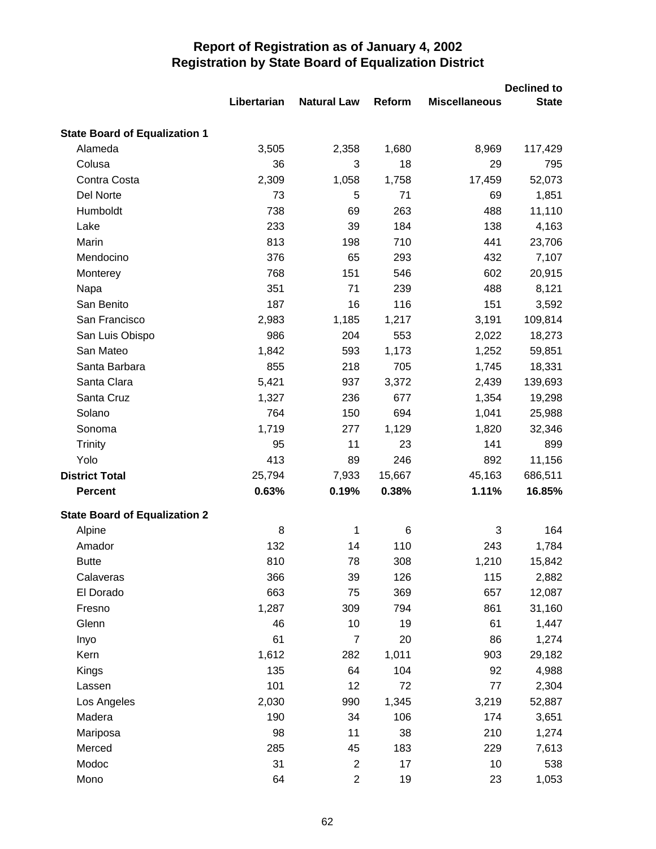|                                      |             |                    |        | <b>Declined to</b>   |              |
|--------------------------------------|-------------|--------------------|--------|----------------------|--------------|
|                                      | Libertarian | <b>Natural Law</b> | Reform | <b>Miscellaneous</b> | <b>State</b> |
| <b>State Board of Equalization 1</b> |             |                    |        |                      |              |
| Alameda                              | 3,505       | 2,358              | 1,680  | 8,969                | 117,429      |
| Colusa                               | 36          | 3                  | 18     | 29                   | 795          |
| Contra Costa                         | 2,309       | 1,058              | 1,758  | 17,459               | 52,073       |
| Del Norte                            | 73          | 5                  | 71     | 69                   | 1,851        |
| Humboldt                             | 738         | 69                 | 263    | 488                  | 11,110       |
| Lake                                 | 233         | 39                 | 184    | 138                  | 4,163        |
| Marin                                | 813         | 198                | 710    | 441                  | 23,706       |
| Mendocino                            | 376         | 65                 | 293    | 432                  | 7,107        |
| Monterey                             | 768         | 151                | 546    | 602                  | 20,915       |
| Napa                                 | 351         | 71                 | 239    | 488                  | 8,121        |
| San Benito                           | 187         | 16                 | 116    | 151                  | 3,592        |
| San Francisco                        | 2,983       | 1,185              | 1,217  | 3,191                | 109,814      |
| San Luis Obispo                      | 986         | 204                | 553    | 2,022                | 18,273       |
| San Mateo                            | 1,842       | 593                | 1,173  | 1,252                | 59,851       |
| Santa Barbara                        | 855         | 218                | 705    | 1,745                | 18,331       |
| Santa Clara                          | 5,421       | 937                | 3,372  | 2,439                | 139,693      |
| Santa Cruz                           | 1,327       | 236                | 677    | 1,354                | 19,298       |
| Solano                               | 764         | 150                | 694    | 1,041                | 25,988       |
| Sonoma                               | 1,719       | 277                | 1,129  | 1,820                | 32,346       |
| Trinity                              | 95          | 11                 | 23     | 141                  | 899          |
| Yolo                                 | 413         | 89                 | 246    | 892                  | 11,156       |
| <b>District Total</b>                | 25,794      | 7,933              | 15,667 | 45,163               | 686,511      |
| <b>Percent</b>                       | 0.63%       | 0.19%              | 0.38%  | 1.11%                | 16.85%       |
| <b>State Board of Equalization 2</b> |             |                    |        |                      |              |
| Alpine                               | 8           | 1                  | 6      | 3                    | 164          |
| Amador                               | 132         | 14                 | 110    | 243                  | 1,784        |
| <b>Butte</b>                         | 810         | 78                 | 308    | 1,210                | 15,842       |
| Calaveras                            | 366         | 39                 | 126    | 115                  | 2,882        |
| El Dorado                            | 663         | 75                 | 369    | 657                  | 12,087       |
| Fresno                               | 1,287       | 309                | 794    | 861                  | 31,160       |
| Glenn                                | 46          | 10                 | 19     | 61                   | 1,447        |
| Inyo                                 | 61          | $\overline{7}$     | 20     | 86                   | 1,274        |
| Kern                                 | 1,612       | 282                | 1,011  | 903                  | 29,182       |
| Kings                                | 135         | 64                 | 104    | 92                   | 4,988        |
| Lassen                               | 101         | 12                 | 72     | 77                   | 2,304        |
| Los Angeles                          | 2,030       | 990                | 1,345  | 3,219                | 52,887       |
| Madera                               | 190         | 34                 | 106    | 174                  | 3,651        |
| Mariposa                             | 98          | 11                 | 38     | 210                  | 1,274        |
| Merced                               | 285         | 45                 | 183    | 229                  | 7,613        |
| Modoc                                | 31          | $\overline{c}$     | 17     | 10                   | 538          |
| Mono                                 | 64          | $\overline{c}$     | 19     | 23                   | 1,053        |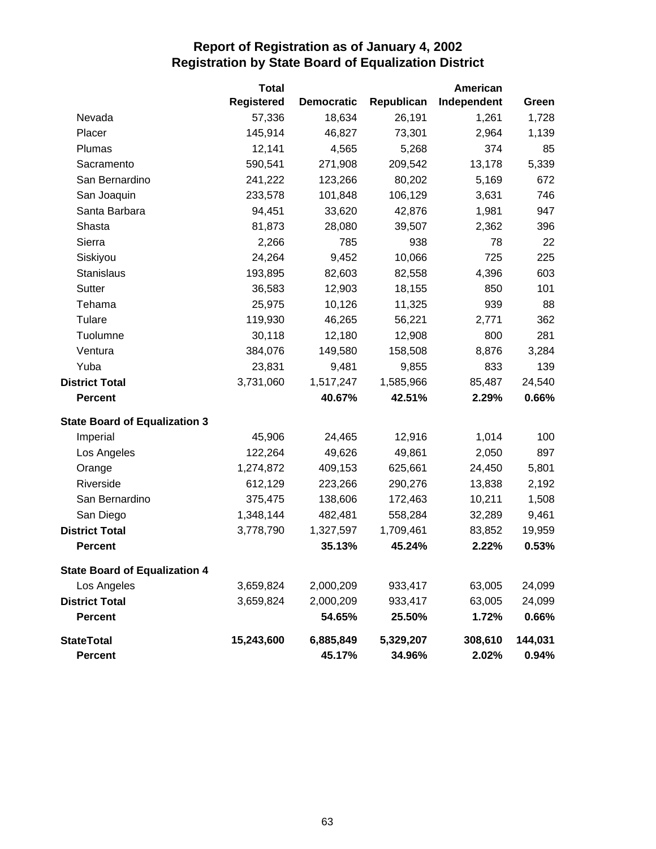|                                      | <b>Total</b>      |                   |            | American    |         |
|--------------------------------------|-------------------|-------------------|------------|-------------|---------|
|                                      | <b>Registered</b> | <b>Democratic</b> | Republican | Independent | Green   |
| Nevada                               | 57,336            | 18,634            | 26,191     | 1,261       | 1,728   |
| Placer                               | 145,914           | 46,827            | 73,301     | 2,964       | 1,139   |
| Plumas                               | 12,141            | 4,565             | 5,268      | 374         | 85      |
| Sacramento                           | 590,541           | 271,908           | 209,542    | 13,178      | 5,339   |
| San Bernardino                       | 241,222           | 123,266           | 80,202     | 5,169       | 672     |
| San Joaquin                          | 233,578           | 101,848           | 106,129    | 3,631       | 746     |
| Santa Barbara                        | 94,451            | 33,620            | 42,876     | 1,981       | 947     |
| Shasta                               | 81,873            | 28,080            | 39,507     | 2,362       | 396     |
| Sierra                               | 2,266             | 785               | 938        | 78          | 22      |
| Siskiyou                             | 24,264            | 9,452             | 10,066     | 725         | 225     |
| <b>Stanislaus</b>                    | 193,895           | 82,603            | 82,558     | 4,396       | 603     |
| Sutter                               | 36,583            | 12,903            | 18,155     | 850         | 101     |
| Tehama                               | 25,975            | 10,126            | 11,325     | 939         | 88      |
| Tulare                               | 119,930           | 46,265            | 56,221     | 2,771       | 362     |
| Tuolumne                             | 30,118            | 12,180            | 12,908     | 800         | 281     |
| Ventura                              | 384,076           | 149,580           | 158,508    | 8,876       | 3,284   |
| Yuba                                 | 23,831            | 9,481             | 9,855      | 833         | 139     |
| <b>District Total</b>                | 3,731,060         | 1,517,247         | 1,585,966  | 85,487      | 24,540  |
| <b>Percent</b>                       |                   | 40.67%            | 42.51%     | 2.29%       | 0.66%   |
| <b>State Board of Equalization 3</b> |                   |                   |            |             |         |
| Imperial                             | 45,906            | 24,465            | 12,916     | 1,014       | 100     |
| Los Angeles                          | 122,264           | 49,626            | 49,861     | 2,050       | 897     |
| Orange                               | 1,274,872         | 409,153           | 625,661    | 24,450      | 5,801   |
| Riverside                            | 612,129           | 223,266           | 290,276    | 13,838      | 2,192   |
| San Bernardino                       | 375,475           | 138,606           | 172,463    | 10,211      | 1,508   |
| San Diego                            | 1,348,144         | 482,481           | 558,284    | 32,289      | 9,461   |
| <b>District Total</b>                | 3,778,790         | 1,327,597         | 1,709,461  | 83,852      | 19,959  |
| <b>Percent</b>                       |                   | 35.13%            | 45.24%     | 2.22%       | 0.53%   |
| <b>State Board of Equalization 4</b> |                   |                   |            |             |         |
| Los Angeles                          | 3,659,824         | 2,000,209         | 933,417    | 63,005      | 24,099  |
| <b>District Total</b>                | 3,659,824         | 2,000,209         | 933,417    | 63,005      | 24,099  |
| <b>Percent</b>                       |                   | 54.65%            | 25.50%     | 1.72%       | 0.66%   |
| <b>StateTotal</b>                    | 15,243,600        | 6,885,849         | 5,329,207  | 308,610     | 144,031 |
| <b>Percent</b>                       |                   | 45.17%            | 34.96%     | 2.02%       | 0.94%   |